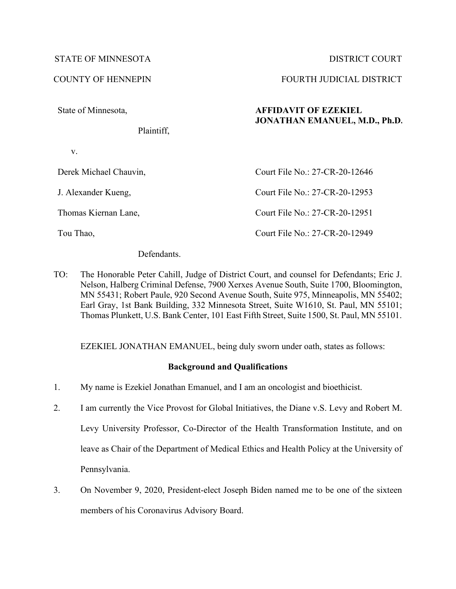# STATE OF MINNESOTA DISTRICT COURT

State of Minnesota,

Plaintiff,

v.

Derek Michael Chauvin,

J. Alexander Kueng,

Thomas Kiernan Lane,

Tou Thao,

Defendants.

TO: The Honorable Peter Cahill, Judge of District Court, and counsel for Defendants; Eric J. Nelson, Halberg Criminal Defense, 7900 Xerxes Avenue South, Suite 1700, Bloomington, MN 55431; Robert Paule, 920 Second Avenue South, Suite 975, Minneapolis, MN 55402; Earl Gray, 1st Bank Building, 332 Minnesota Street, Suite W1610, St. Paul, MN 55101; Thomas Plunkett, U.S. Bank Center, 101 East Fifth Street, Suite 1500, St. Paul, MN 55101.

EZEKIEL JONATHAN EMANUEL, being duly sworn under oath, states as follows:

# **Background and Qualifications**

- 1. My name is Ezekiel Jonathan Emanuel, and I am an oncologist and bioethicist.
- 2. I am currently the Vice Provost for Global Initiatives, the Diane v.S. Levy and Robert M. Levy University Professor, Co-Director of the Health Transformation Institute, and on leave as Chair of the Department of Medical Ethics and Health Policy at the University of Pennsylvania.
- 3. On November 9, 2020, President-elect Joseph Biden named me to be one of the sixteen members of his Coronavirus Advisory Board.

COUNTY OF HENNEPIN FOURTH JUDICIAL DISTRICT

# **AFFIDAVIT OF EZEKIEL JONATHAN EMANUEL, M.D., Ph.D.**

| Court File No.: 27-CR-20-12646 |  |
|--------------------------------|--|
| Court File No.: 27-CR-20-12953 |  |
| Court File No.: 27-CR-20-12951 |  |
| Court File No.: 27-CR-20-12949 |  |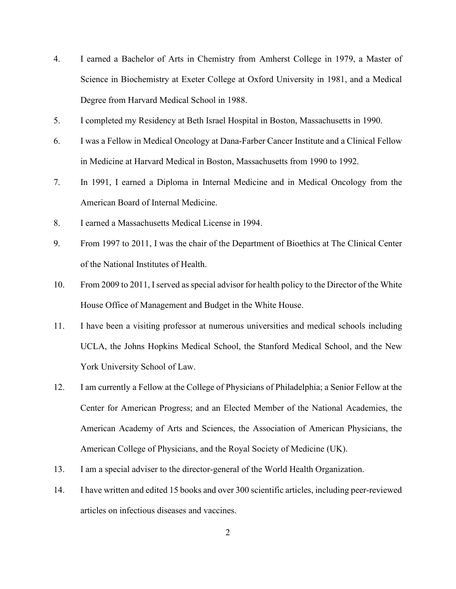- 4. I earned a Bachelor of Arts in Chemistry from Amherst College in 1979, a Master of Science in Biochemistry at Exeter College at Oxford University in 1981, and a Medical Degree from Harvard Medical School in 1988.
- 5. I completed my Residency at Beth Israel Hospital in Boston, Massachusetts in 1990.
- 6. I was a Fellow in Medical Oncology at Dana-Farber Cancer Institute and a Clinical Fellow in Medicine at Harvard Medical in Boston, Massachusetts from 1990 to 1992.
- 7. In 1991, I earned a Diploma in Internal Medicine and in Medical Oncology from the American Board of Internal Medicine.
- 8. I earned a Massachusetts Medical License in 1994.
- 9. From 1997 to 2011, I was the chair of the Department of Bioethics at The Clinical Center of the National Institutes of Health.
- 10. From 2009 to 2011, I served as special advisor for health policy to the Director of the White House Office of Management and Budget in the White House.
- 11. I have been a visiting professor at numerous universities and medical schools including UCLA, the Johns Hopkins Medical School, the Stanford Medical School, and the New York University School of Law.
- 12. I am currently a Fellow at the College of Physicians of Philadelphia; a Senior Fellow at the Center for American Progress; and an Elected Member of the National Academies, the American Academy of Arts and Sciences, the Association of American Physicians, the American College of Physicians, and the Royal Society of Medicine (UK).
- 13. I am a special adviser to the director-general of the World Health Organization.
- 14. I have written and edited 15 books and over 300 scientific articles, including peer-reviewed articles on infectious diseases and vaccines.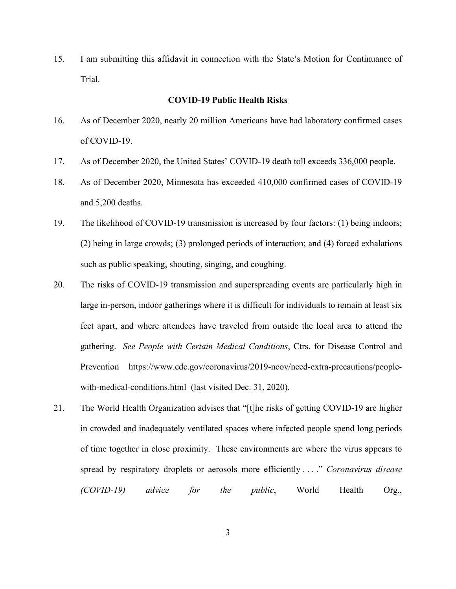15. I am submitting this affidavit in connection with the State's Motion for Continuance of Trial.

## **COVID-19 Public Health Risks**

- 16. As of December 2020, nearly 20 million Americans have had laboratory confirmed cases of COVID-19.
- 17. As of December 2020, the United States' COVID-19 death toll exceeds 336,000 people.
- 18. As of December 2020, Minnesota has exceeded 410,000 confirmed cases of COVID-19 and 5,200 deaths.
- 19. The likelihood of COVID-19 transmission is increased by four factors: (1) being indoors; (2) being in large crowds; (3) prolonged periods of interaction; and (4) forced exhalations such as public speaking, shouting, singing, and coughing.
- 20. The risks of COVID-19 transmission and superspreading events are particularly high in large in-person, indoor gatherings where it is difficult for individuals to remain at least six feet apart, and where attendees have traveled from outside the local area to attend the gathering. *See People with Certain Medical Conditions*, Ctrs. for Disease Control and Prevention https://www.cdc.gov/coronavirus/2019-ncov/need-extra-precautions/peoplewith-medical-conditions.html (last visited Dec. 31, 2020).
- 21. The World Health Organization advises that "[t]he risks of getting COVID-19 are higher in crowded and inadequately ventilated spaces where infected people spend long periods of time together in close proximity. These environments are where the virus appears to spread by respiratory droplets or aerosols more efficiently . . . ." *Coronavirus disease (COVID-19) advice for the public*, World Health Org.,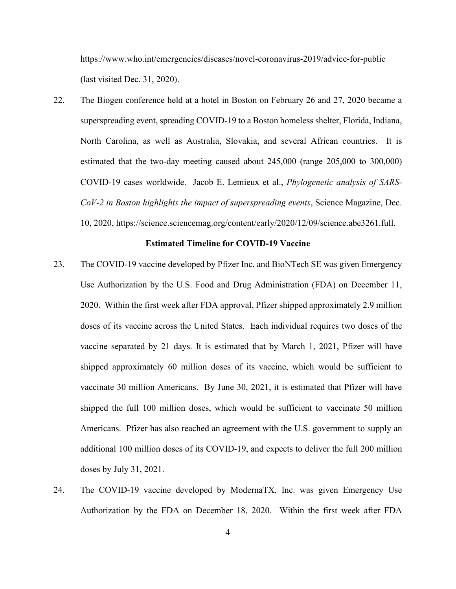https://www.who.int/emergencies/diseases/novel-coronavirus-2019/advice-for-public (last visited Dec. 31, 2020).

22. The Biogen conference held at a hotel in Boston on February 26 and 27, 2020 became a superspreading event, spreading COVID-19 to a Boston homeless shelter, Florida, Indiana, North Carolina, as well as Australia, Slovakia, and several African countries. It is estimated that the two-day meeting caused about 245,000 (range 205,000 to 300,000) COVID-19 cases worldwide. Jacob E. Lemieux et al., *Phylogenetic analysis of SARS-CoV-2 in Boston highlights the impact of superspreading events*, Science Magazine, Dec. 10, 2020, https://science.sciencemag.org/content/early/2020/12/09/science.abe3261.full.

### **Estimated Timeline for COVID-19 Vaccine**

- 23. The COVID-19 vaccine developed by Pfizer Inc. and BioNTech SE was given Emergency Use Authorization by the U.S. Food and Drug Administration (FDA) on December 11, 2020. Within the first week after FDA approval, Pfizer shipped approximately 2.9 million doses of its vaccine across the United States. Each individual requires two doses of the vaccine separated by 21 days. It is estimated that by March 1, 2021, Pfizer will have shipped approximately 60 million doses of its vaccine, which would be sufficient to vaccinate 30 million Americans. By June 30, 2021, it is estimated that Pfizer will have shipped the full 100 million doses, which would be sufficient to vaccinate 50 million Americans. Pfizer has also reached an agreement with the U.S. government to supply an additional 100 million doses of its COVID-19, and expects to deliver the full 200 million doses by July 31, 2021.
- 24. The COVID-19 vaccine developed by ModernaTX, Inc. was given Emergency Use Authorization by the FDA on December 18, 2020. Within the first week after FDA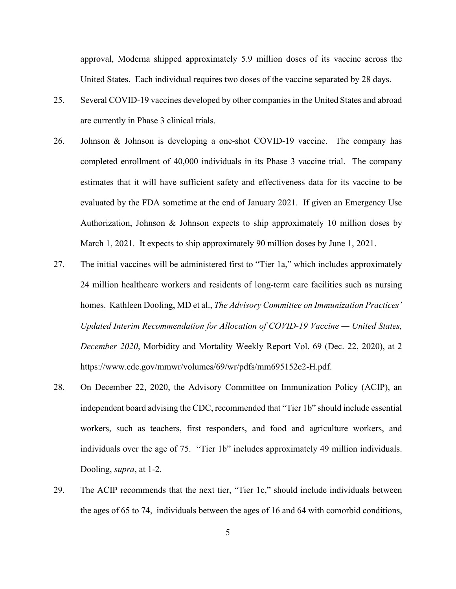approval, Moderna shipped approximately 5.9 million doses of its vaccine across the United States. Each individual requires two doses of the vaccine separated by 28 days.

- 25. Several COVID-19 vaccines developed by other companies in the United States and abroad are currently in Phase 3 clinical trials.
- 26. Johnson & Johnson is developing a one-shot COVID-19 vaccine. The company has completed enrollment of 40,000 individuals in its Phase 3 vaccine trial. The company estimates that it will have sufficient safety and effectiveness data for its vaccine to be evaluated by the FDA sometime at the end of January 2021. If given an Emergency Use Authorization, Johnson & Johnson expects to ship approximately 10 million doses by March 1, 2021. It expects to ship approximately 90 million doses by June 1, 2021.
- 27. The initial vaccines will be administered first to "Tier 1a," which includes approximately 24 million healthcare workers and residents of long-term care facilities such as nursing homes. Kathleen Dooling, MD et al., *The Advisory Committee on Immunization Practices' Updated Interim Recommendation for Allocation of COVID-19 Vaccine — United States, December 2020*, Morbidity and Mortality Weekly Report Vol. 69 (Dec. 22, 2020), at 2 https://www.cdc.gov/mmwr/volumes/69/wr/pdfs/mm695152e2-H.pdf.
- 28. On December 22, 2020, the Advisory Committee on Immunization Policy (ACIP), an independent board advising the CDC, recommended that "Tier 1b" should include essential workers, such as teachers, first responders, and food and agriculture workers, and individuals over the age of 75. "Tier 1b" includes approximately 49 million individuals. Dooling, *supra*, at 1-2.
- 29. The ACIP recommends that the next tier, "Tier 1c," should include individuals between the ages of 65 to 74, individuals between the ages of 16 and 64 with comorbid conditions,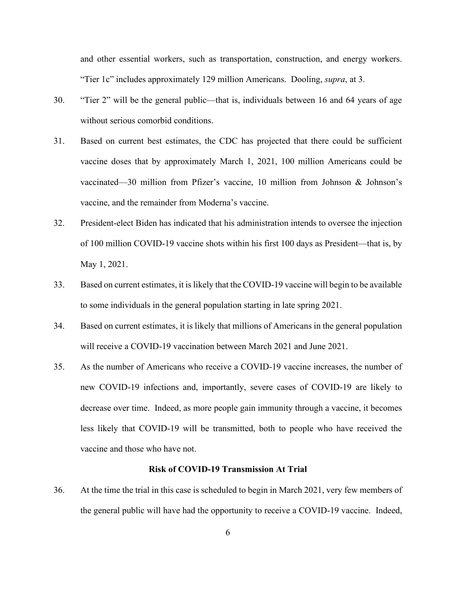and other essential workers, such as transportation, construction, and energy workers. "Tier 1c" includes approximately 129 million Americans. Dooling, *supra*, at 3.

- 30. "Tier 2" will be the general public—that is, individuals between 16 and 64 years of age without serious comorbid conditions.
- 31. Based on current best estimates, the CDC has projected that there could be sufficient vaccine doses that by approximately March 1, 2021, 100 million Americans could be vaccinated—30 million from Pfizer's vaccine, 10 million from Johnson & Johnson's vaccine, and the remainder from Moderna's vaccine.
- 32. President-elect Biden has indicated that his administration intends to oversee the injection of 100 million COVID-19 vaccine shots within his first 100 days as President—that is, by May 1, 2021.
- 33. Based on current estimates, it is likely that the COVID-19 vaccine will begin to be available to some individuals in the general population starting in late spring 2021.
- 34. Based on current estimates, it is likely that millions of Americans in the general population will receive a COVID-19 vaccination between March 2021 and June 2021.
- 35. As the number of Americans who receive a COVID-19 vaccine increases, the number of new COVID-19 infections and, importantly, severe cases of COVID-19 are likely to decrease over time. Indeed, as more people gain immunity through a vaccine, it becomes less likely that COVID-19 will be transmitted, both to people who have received the vaccine and those who have not.

### **Risk of COVID-19 Transmission At Trial**

36. At the time the trial in this case is scheduled to begin in March 2021, very few members of the general public will have had the opportunity to receive a COVID-19 vaccine. Indeed,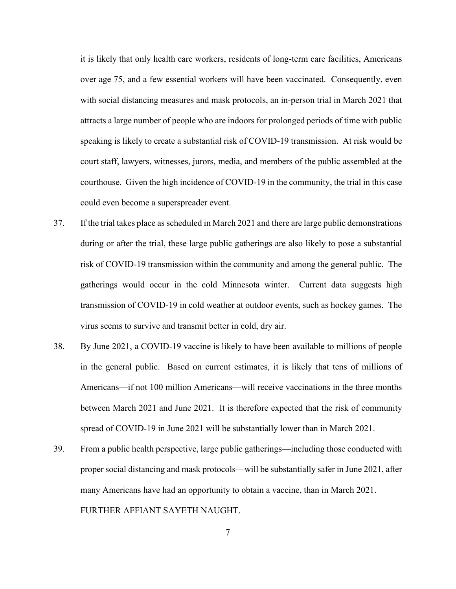it is likely that only health care workers, residents of long-term care facilities, Americans over age 75, and a few essential workers will have been vaccinated. Consequently, even with social distancing measures and mask protocols, an in-person trial in March 2021 that attracts a large number of people who are indoors for prolonged periods of time with public speaking is likely to create a substantial risk of COVID-19 transmission. At risk would be court staff, lawyers, witnesses, jurors, media, and members of the public assembled at the courthouse. Given the high incidence of COVID-19 in the community, the trial in this case could even become a superspreader event.

- 37. If the trial takes place as scheduled in March 2021 and there are large public demonstrations during or after the trial, these large public gatherings are also likely to pose a substantial risk of COVID-19 transmission within the community and among the general public. The gatherings would occur in the cold Minnesota winter. Current data suggests high transmission of COVID-19 in cold weather at outdoor events, such as hockey games. The virus seems to survive and transmit better in cold, dry air.
- 38. By June 2021, a COVID-19 vaccine is likely to have been available to millions of people in the general public. Based on current estimates, it is likely that tens of millions of Americans—if not 100 million Americans—will receive vaccinations in the three months between March 2021 and June 2021. It is therefore expected that the risk of community spread of COVID-19 in June 2021 will be substantially lower than in March 2021.
- 39. From a public health perspective, large public gatherings—including those conducted with proper social distancing and mask protocols—will be substantially safer in June 2021, after many Americans have had an opportunity to obtain a vaccine, than in March 2021. FURTHER AFFIANT SAYETH NAUGHT.